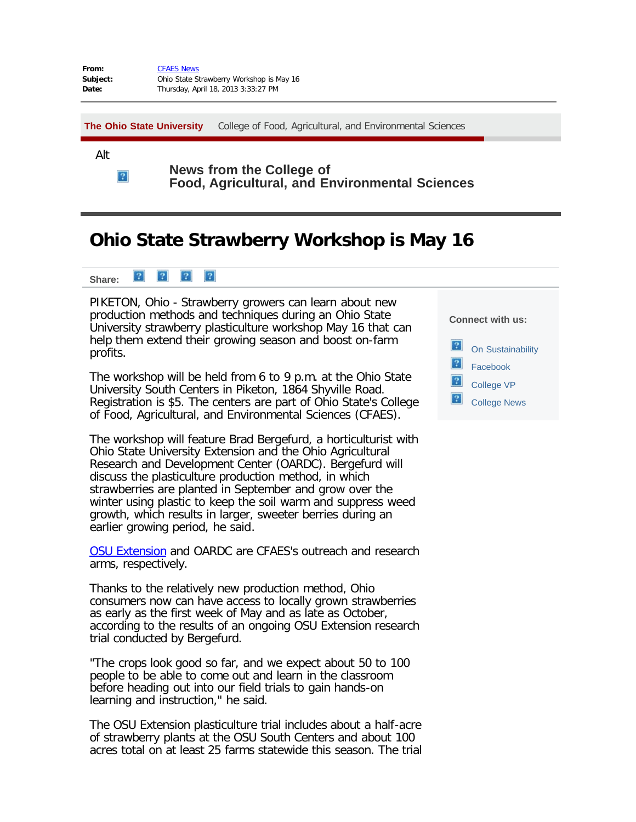| From:    | <b>CFAES News</b>                        |
|----------|------------------------------------------|
| Subject: | Ohio State Strawberry Workshop is May 16 |
| Date:    | Thursday, April 18, 2013 3:33:27 PM      |

**[The Ohio State University](http://www.osu.edu/)** [College of Food, Agricultural, and Environmental Sciences](http://cfaes.osu.edu/)

Alt

 $\mathbf{P}$ 

**News from the College of Food, Agricultural, and Environmental Sciences**

## **Ohio State Strawberry Workshop is May 16**



PIKETON, Ohio - Strawberry growers can learn about new production methods and techniques during an Ohio State University strawberry plasticulture workshop May 16 that can help them extend their growing season and boost on-farm profits.

The workshop will be held from 6 to 9 p.m. at the Ohio State University South Centers in Piketon, 1864 Shyville Road. Registration is \$5. The centers are part of Ohio State's College of Food, Agricultural, and Environmental Sciences (CFAES).

The workshop will feature Brad Bergefurd, a horticulturist with Ohio State University Extension and the Ohio Agricultural Research and Development Center (OARDC). Bergefurd will discuss the plasticulture production method, in which strawberries are planted in September and grow over the winter using plastic to keep the soil warm and suppress weed growth, which results in larger, sweeter berries during an earlier growing period, he said.

[OSU Extension](http://extension.osu.edu/) and OARDC are CFAES's outreach and research arms, respectively.

Thanks to the relatively new production method, Ohio consumers now can have access to locally grown strawberries as early as the first week of May and as late as October, according to the results of an ongoing OSU Extension research trial conducted by Bergefurd.

"The crops look good so far, and we expect about 50 to 100 people to be able to come out and learn in the classroom before heading out into our field trials to gain hands-on learning and instruction," he said.

The OSU Extension plasticulture trial includes about a half-acre of strawberry plants at the OSU South Centers and about 100 acres total on at least 25 farms statewide this season. The trial